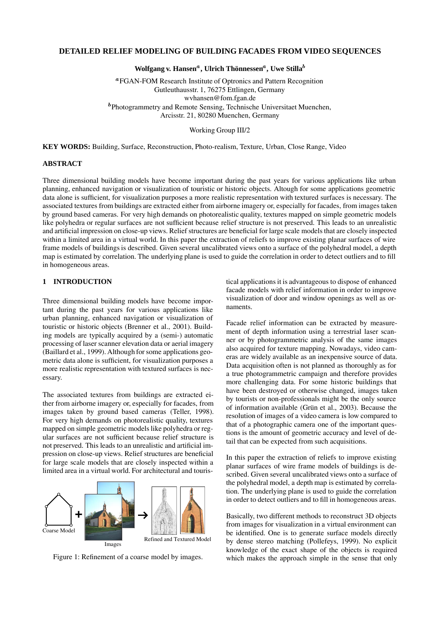### **DETAILED RELIEF MODELING OF BUILDING FACADES FROM VIDEO SEQUENCES**

 $\mathbf{W}$ olfgang v. Hansen<sup>a</sup>, Ulrich Thönnessen<sup>a</sup>, Uwe Stilla $^b$ 

 FGAN-FOM Research Institute of Optronics and Pattern Recognition Gutleuthausstr. 1, 76275 Ettlingen, Germany wvhansen@fom.fgan.de <sup>b</sup>Photogrammetry and Remote Sensing, Technische Universitaet Muenchen, Arcisstr. 21, 80280 Muenchen, Germany

Working Group III/2

**KEY WORDS:** Building, Surface, Reconstruction, Photo-realism, Texture, Urban, Close Range, Video

#### **ABSTRACT**

Three dimensional building models have become important during the past years for various applications like urban planning, enhanced navigation or visualization of touristic or historic objects. Altough for some applications geometric data alone is sufficient, for visualization purposes a more realistic representation with textured surfaces is necessary. The associated textures from buildings are extracted either from airborne imagery or, especially for facades, from images taken by ground based cameras. For very high demands on photorealistic quality, textures mapped on simple geometric models like polyhedra or regular surfaces are not sufficient because relief structure is not preserved. This leads to an unrealistic and artificial impression on close-up views. Relief structures are beneficial for large scale models that are closely inspected within a limited area in a virtual world. In this paper the extraction of reliefs to improve existing planar surfaces of wire frame models of buildings is described. Given several uncalibrated views onto a surface of the polyhedral model, a depth map is estimated by correlation. The underlying plane is used to guide the correlation in order to detect outliers and to fill in homogeneous areas.

### **1 INTRODUCTION**

Three dimensional building models have become important during the past years for various applications like urban planning, enhanced navigation or visualization of touristic or historic objects (Brenner et al., 2001). Building models are typically acquired by a (semi-) automatic processing of laser scanner elevation data or aerial imagery (Baillard et al., 1999). Although for some applications geometric data alone is sufficient, for visualization purposes a more realistic representation with textured surfaces is necessary.

The associated textures from buildings are extracted either from airborne imagery or, especially for facades, from images taken by ground based cameras (Teller, 1998). For very high demands on photorealistic quality, textures mapped on simple geometric models like polyhedra or regular surfaces are not sufficient because relief structure is not preserved. This leads to an unrealistic and artificial impression on close-up views. Relief structures are beneficial for large scale models that are closely inspected within a limited area in a virtual world. For architectural and touris-



Figure 1: Refinement of a coarse model by images.

tical applications it is advantageous to dispose of enhanced facade models with relief information in order to improve visualization of door and window openings as well as ornaments.

Facade relief information can be extracted by measurement of depth information using a terrestrial laser scanner or by photogrammetric analysis of the same images also acquired for texture mapping. Nowadays, video cameras are widely available as an inexpensive source of data. Data acquisition often is not planned as thoroughly as for a true photogrammetric campaign and therefore provides more challenging data. For some historic buildings that have been destroyed or otherwise changed, images taken by tourists or non-professionals might be the only source of information available (Grün et al., 2003). Because the resolution of images of a video camera is low compared to that of a photographic camera one of the important questions is the amount of geometric accuracy and level of detail that can be expected from such acquisitions.

In this paper the extraction of reliefs to improve existing planar surfaces of wire frame models of buildings is described. Given several uncalibrated views onto a surface of the polyhedral model, a depth map is estimated by correlation. The underlying plane is used to guide the correlation in order to detect outliers and to fill in homogeneous areas.

Basically, two different methods to reconstruct 3D objects from images for visualization in a virtual environment can be identified. One is to generate surface models directly by dense stereo matching (Pollefeys, 1999). No explicit knowledge of the exact shape of the objects is required which makes the approach simple in the sense that only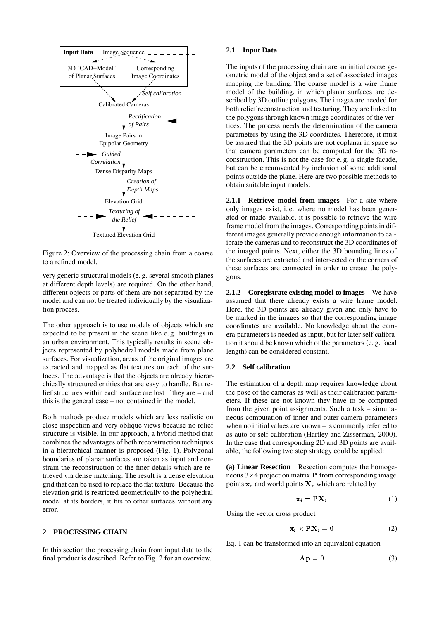

Textured Elevation Grid

Figure 2: Overview of the processing chain from a coarse to a refined model.

very generic structural models (e. g. several smooth planes at different depth levels) are required. On the other hand, different objects or parts of them are not separated by the model and can not be treated individually by the visualization process.

The other approach is to use models of objects which are expected to be present in the scene like e. g. buildings in an urban environment. This typically results in scene objects represented by polyhedral models made from plane surfaces. For visualization, areas of the original images are extracted and mapped as flat textures on each of the surfaces. The advantage is that the objects are already hierarchically structured entities that are easy to handle. But relief structures within each surface are lost if they are – and this is the general case – not contained in the model.

Both methods produce models which are less realistic on close inspection and very oblique views because no relief structure is visible. In our approach, a hybrid method that combines the advantages of both reconstruction techniques in a hierarchical manner is proposed (Fig. 1). Polygonal boundaries of planar surfaces are taken as input and constrain the reconstruction of the finer details which are retrieved via dense matching. The result is a dense elevation grid that can be used to replace the flat texture. Because the elevation grid is restricted geometrically to the polyhedral model at its borders, it fits to other surfaces without any error.

#### **2 PROCESSING CHAIN**

In this section the processing chain from input data to the final product is described. Refer to Fig. 2 for an overview.

### **2.1 Input Data**

The inputs of the processing chain are an initial coarse geometric model of the object and a set of associated images mapping the building. The coarse model is a wire frame model of the building, in which planar surfaces are described by 3D outline polygons. The images are needed for both relief reconstruction and texturing. They are linked to the polygons through known image coordinates of the vertices. The process needs the determination of the camera parameters by using the 3D coordiates. Therefore, it must be assured that the 3D points are not coplanar in space so that camera parameters can be computed for the 3D reconstruction. This is not the case for e. g. a single facade, but can be circumvented by inclusion of some additional points outside the plane. Here are two possible methods to obtain suitable input models:

**2.1.1 Retrieve model from images** For a site where only images exist, i. e. where no model has been generated or made available, it is possible to retrieve the wire frame model from the images. Corresponding points in different images generally provide enough information to calibrate the cameras and to reconstruct the 3D coordinates of the imaged points. Next, either the 3D bounding lines of the surfaces are extracted and intersected or the corners of these surfaces are connected in order to create the polygons.

**2.1.2 Coregistrate existing model to images** We have assumed that there already exists a wire frame model. Here, the 3D points are already given and only have to be marked in the images so that the corresponding image coordinates are available. No knowledge about the camera parameters is needed as input, but for later self calibration it should be known which of the parameters (e. g. focal length) can be considered constant.

### **2.2 Self calibration**

The estimation of a depth map requires knowledge about the pose of the cameras as well as their calibration parameters. If these are not known they have to be computed from the given point assignments. Such a task – simultaneous computation of inner and outer camera parameters when no initial values are known – is commonly referred to as auto or self calibration (Hartley and Zisserman, 2000). In the case that corresponding 2D and 3D points are available, the following two step strategy could be applied:

**(a) Linear Resection** Resection computes the homogeneous  $3\times4$  projection matrix **P** from corresponding image points  $x_i$  and world points  $X_i$  which are related by

$$
\mathbf{x}_i = \mathbf{P} \mathbf{X}_i \tag{1}
$$

Using the vector cross product

$$
\mathbf{x}_i \times \mathbf{P} \mathbf{X}_i = 0 \tag{2}
$$

Eq. 1 can be transformed into an equivalent equation

$$
\mathbf{A}\mathbf{p} = 0 \tag{3}
$$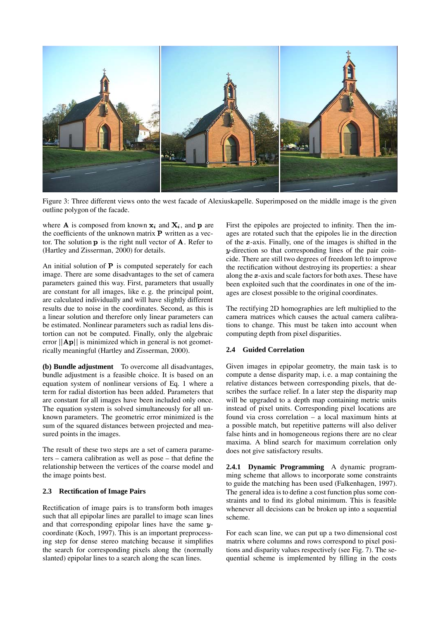

Figure 3: Three different views onto the west facade of Alexiuskapelle. Superimposed on the middle image is the given outline polygon of the facade.

where **A** is composed from known  $x_i$  and  $X_i$ , and **p** are the coefficients of the unknown matrix  $P$  written as a vector. The solution  $\bf{p}$  is the right null vector of  $\bf{A}$ . Refer to (Hartley and Zisserman, 2000) for details.

An initial solution of  $P$  is computed seperately for each image. There are some disadvantages to the set of camera parameters gained this way. First, parameters that usually are constant for all images, like e. g. the principal point, are calculated individually and will have slightly different results due to noise in the coordinates. Second, as this is a linear solution and therefore only linear parameters can be estimated. Nonlinear parameters such as radial lens distortion can not be computed. Finally, only the algebraic error  $\|\mathbf{A}_{\mathbf{p}}\|$  is minimized which in general is not geometrically meaningful (Hartley and Zisserman, 2000).

**(b) Bundle adjustment** To overcome all disadvantages, bundle adjustment is a feasible choice. It is based on an equation system of nonlinear versions of Eq. 1 where a term for radial distortion has been added. Parameters that are constant for all images have been included only once. The equation system is solved simultaneously for all unknown parameters. The geometric error minimized is the sum of the squared distances between projected and measured points in the images.

The result of these two steps are a set of camera parameters – camera calibration as well as pose – that define the relationship between the vertices of the coarse model and the image points best.

# **2.3 Rectification of Image Pairs**

Rectification of image pairs is to transform both images such that all epipolar lines are parallel to image scan lines and that corresponding epipolar lines have the same  $y$ coordinate (Koch, 1997). This is an important preprocessing step for dense stereo matching because it simplifies the search for corresponding pixels along the (normally slanted) epipolar lines to a search along the scan lines.

First the epipoles are projected to infinity. Then the images are rotated such that the epipoles lie in the direction of the  $x$ -axis. Finally, one of the images is shifted in the -direction so that corresponding lines of the pair coincide. There are still two degrees of freedom left to improve the rectification without destroying its properties: a shear along the  $x$ -axis and scale factors for both axes. These have been exploited such that the coordinates in one of the images are closest possible to the original coordinates.

The rectifying 2D homographies are left multiplied to the camera matrices which causes the actual camera calibrations to change. This must be taken into account when computing depth from pixel disparities.

### **2.4 Guided Correlation**

Given images in epipolar geometry, the main task is to compute a dense disparity map, i. e. a map containing the relative distances between corresponding pixels, that describes the surface relief. In a later step the disparity map will be upgraded to a depth map containing metric units instead of pixel units. Corresponding pixel locations are found via cross correlation – a local maximum hints at a possible match, but repetitive patterns will also deliver false hints and in homogeneous regions there are no clear maxima. A blind search for maximum correlation only does not give satisfactory results.

**2.4.1 Dynamic Programming** A dynamic programming scheme that allows to incorporate some constraints to guide the matching has been used (Falkenhagen, 1997). The general idea is to define a cost function plus some constraints and to find its global minimum. This is feasible whenever all decisions can be broken up into a sequential scheme.

For each scan line, we can put up a two dimensional cost matrix where columns and rows correspond to pixel positions and disparity values respectively (see Fig. 7). The sequential scheme is implemented by filling in the costs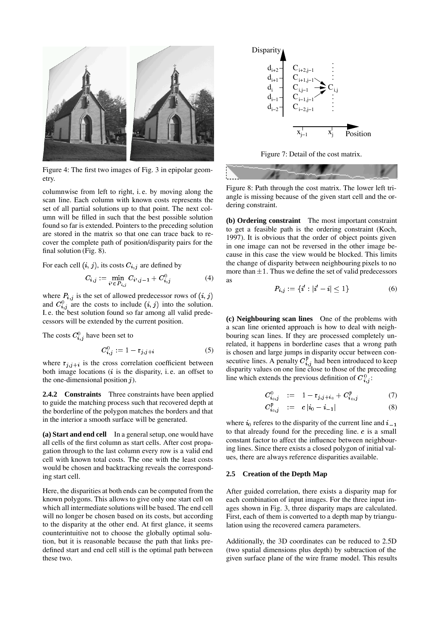

Figure 4: The first two images of Fig. 3 in epipolar geometry.

columnwise from left to right, i. e. by moving along the scan line. Each column with known costs represents the set of all partial solutions up to that point. The next column will be filled in such that the best possible solution found so far is extended. Pointers to the preceding solution are stored in the matrix so that one can trace back to recover the complete path of position/disparity pairs for the final solution (Fig. 8).

For each cell  $(i, j)$ , its costs  $C_{i,j}$  are defined by

$$
C_{i,j} := \min_{i' \in P_{i,j}} C_{i',j-1} + C_{i,j}^0 \tag{4}
$$

where  $P_{i,j}$  is the set of allowed predecessor rows of  $(i, j)$ and  $C_{i,j}^0$  are the costs to include  $(i, j)$  into the solution. I. e. the best solution found so far among all valid predecessors will be extended by the current position.

The costs  $C_{i,j}^0$  have been set to

$$
C_{i,j}^0 := 1 - r_{j,j+i} \tag{5}
$$

where  $r_{j,j+i}$  is the cross correlation coefficient between both image locations  $(i$  is the disparity, i.e. an offset to the one-dimensional position  $j$ ).

**2.4.2 Constraints** Three constraints have been applied to guide the matching process such that recovered depth at the borderline of the polygon matches the borders and that in the interior a smooth surface will be generated.

**(a) Start and end cell** In a general setup, one would have all cells of the first column as start cells. After cost propagation through to the last column every row is a valid end cell with known total costs. The one with the least costs would be chosen and backtracking reveals the corresponding start cell.

Here, the disparities at both ends can be computed from the known polygons. This allows to give only one start cell on which all intermediate solutions will be based. The end cell will no longer be chosen based on its costs, but according to the disparity at the other end. At first glance, it seems counterintuitive not to choose the globally optimal solution, but it is reasonable because the path that links predefined start and end cell still is the optimal path between these two.



Figure 7: Detail of the cost matrix.



Figure 8: Path through the cost matrix. The lower left triangle is missing because of the given start cell and the ordering constraint.

**(b) Ordering constraint** The most important constraint to get a feasible path is the ordering constraint (Koch, 1997). It is obvious that the order of object points given in one image can not be reversed in the other image because in this case the view would be blocked. This limits the change of disparity between neighbouring pixels to no more than  $\pm 1$ . Thus we define the set of valid predecessors as

$$
P_{i,j} := \{i' : |i'-i| \le 1\} \tag{6}
$$

**(c) Neighbouring scan lines** One of the problems with a scan line oriented approach is how to deal with neighbouring scan lines. If they are processed completely unrelated, it happens in borderline cases that a wrong path is chosen and large jumps in disparity occur between consecutive lines. A penalty  $C_{i,j}^p$  had been introduced to keep disparity values on one line close to those of the preceding line which extends the previous definition of  $C_{i,j}^0$ :

$$
C_{i_0,j}^0 \quad := \quad 1 - \mathbf{r}_{j,j+i_0} + C_{i_0,j}^p \tag{7}
$$

$$
C_{i_0,j}^p \quad := \quad c \, |i_0 - i_{-1}| \tag{8}
$$

where  $i_0$  referes to the disparity of the current line and  $i_$ to that already found for the preceding line.  $c$  is a small constant factor to affect the influence between neighbouring lines. Since there exists a closed polygon of initial values, there are always reference disparities available.

#### **2.5 Creation of the Depth Map**

After guided correlation, there exists a disparity map for each combination of input images. For the three input images shown in Fig. 3, three disparity maps are calculated. First, each of them is converted to a depth map by triangulation using the recovered camera parameters.

Additionally, the 3D coordinates can be reduced to 2.5D (two spatial dimensions plus depth) by subtraction of the given surface plane of the wire frame model. This results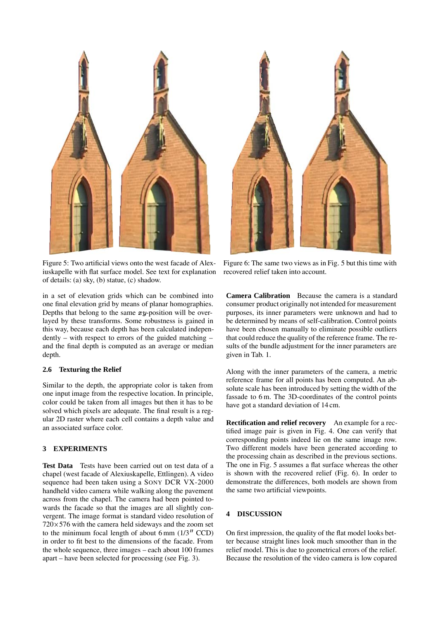

Figure 5: Two artificial views onto the west facade of Alexiuskapelle with flat surface model. See text for explanation of details: (a) sky, (b) statue, (c) shadow.

in a set of elevation grids which can be combined into one final elevation grid by means of planar homographies. Depths that belong to the same  $xy$ -position will be overlayed by these transforms. Some robustness is gained in this way, because each depth has been calculated independently – with respect to errors of the guided matching – and the final depth is computed as an average or median depth.

# **2.6 Texturing the Relief**

Similar to the depth, the appropriate color is taken from one input image from the respective location. In principle, color could be taken from all images but then it has to be solved which pixels are adequate. The final result is a regular 2D raster where each cell contains a depth value and an associated surface color.

# **3 EXPERIMENTS**

**Test Data** Tests have been carried out on test data of a chapel (west facade of Alexiuskapelle, Ettlingen). A video sequence had been taken using a SONY DCR VX-2000 handheld video camera while walking along the pavement across from the chapel. The camera had been pointed towards the facade so that the images are all slightly convergent. The image format is standard video resolution of  $720\times576$  with the camera held sideways and the zoom set to the minimum focal length of about 6 mm  $(1/3"$  CCD) in order to fit best to the dimensions of the facade. From the whole sequence, three images – each about 100 frames apart – have been selected for processing (see Fig. 3).



Figure 6: The same two views as in Fig. 5 but this time with recovered relief taken into account.

**Camera Calibration** Because the camera is a standard consumer product originally not intended for measurement purposes, its inner parameters were unknown and had to be determined by means of self-calibration. Control points have been chosen manually to eliminate possible outliers that could reduce the quality of the reference frame. The results of the bundle adjustment for the inner parameters are given in Tab. 1.

Along with the inner parameters of the camera, a metric reference frame for all points has been computed. An absolute scale has been introduced by setting the width of the fassade to 6 m. The 3D-coordinates of the control points have got a standard deviation of 14 cm.

**Rectification and relief recovery** An example for a rectified image pair is given in Fig. 4. One can verify that corresponding points indeed lie on the same image row. Two different models have been generated according to the processing chain as described in the previous sections. The one in Fig. 5 assumes a flat surface whereas the other is shown with the recovered relief (Fig. 6). In order to demonstrate the differences, both models are shown from the same two artificial viewpoints.

# **4 DISCUSSION**

On first impression, the quality of the flat model looks better because straight lines look much smoother than in the relief model. This is due to geometrical errors of the relief. Because the resolution of the video camera is low copared